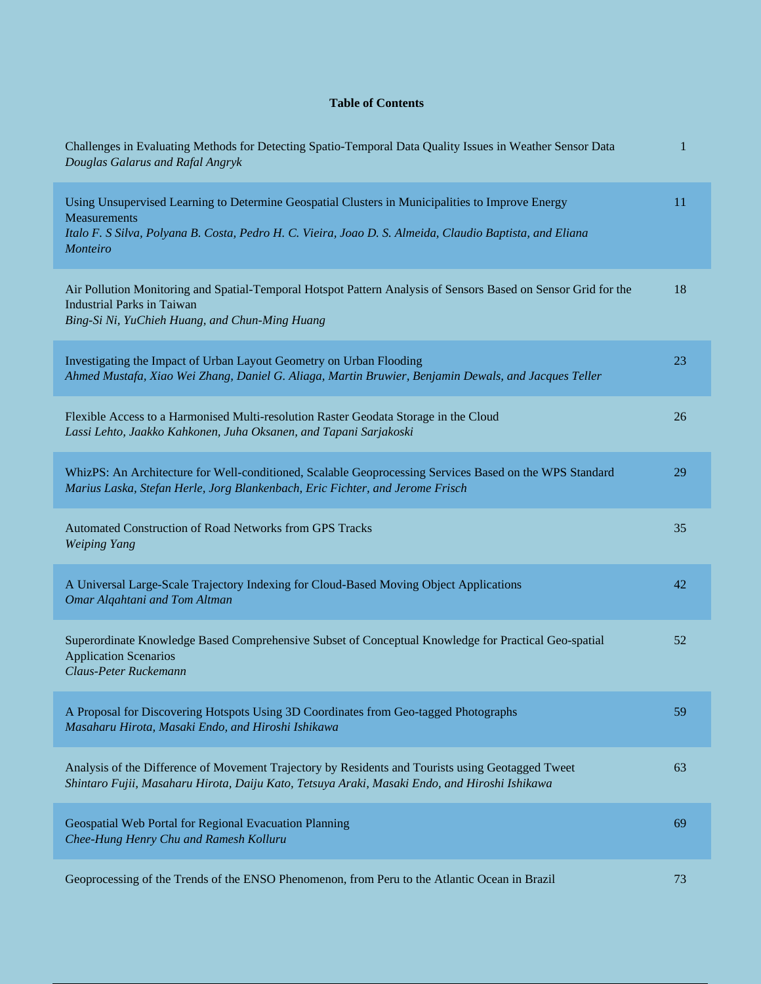## **Table of Contents**

| Challenges in Evaluating Methods for Detecting Spatio-Temporal Data Quality Issues in Weather Sensor Data<br>Douglas Galarus and Rafal Angryk                                                                                                   | 1  |
|-------------------------------------------------------------------------------------------------------------------------------------------------------------------------------------------------------------------------------------------------|----|
| Using Unsupervised Learning to Determine Geospatial Clusters in Municipalities to Improve Energy<br><b>Measurements</b><br>Italo F. S Silva, Polyana B. Costa, Pedro H. C. Vieira, Joao D. S. Almeida, Claudio Baptista, and Eliana<br>Monteiro | 11 |
| Air Pollution Monitoring and Spatial-Temporal Hotspot Pattern Analysis of Sensors Based on Sensor Grid for the<br><b>Industrial Parks in Taiwan</b><br>Bing-Si Ni, YuChieh Huang, and Chun-Ming Huang                                           | 18 |
| Investigating the Impact of Urban Layout Geometry on Urban Flooding<br>Ahmed Mustafa, Xiao Wei Zhang, Daniel G. Aliaga, Martin Bruwier, Benjamin Dewals, and Jacques Teller                                                                     | 23 |
| Flexible Access to a Harmonised Multi-resolution Raster Geodata Storage in the Cloud<br>Lassi Lehto, Jaakko Kahkonen, Juha Oksanen, and Tapani Sarjakoski                                                                                       | 26 |
| WhizPS: An Architecture for Well-conditioned, Scalable Geoprocessing Services Based on the WPS Standard<br>Marius Laska, Stefan Herle, Jorg Blankenbach, Eric Fichter, and Jerome Frisch                                                        | 29 |
| Automated Construction of Road Networks from GPS Tracks<br><b>Weiping Yang</b>                                                                                                                                                                  | 35 |
| A Universal Large-Scale Trajectory Indexing for Cloud-Based Moving Object Applications<br>Omar Alqahtani and Tom Altman                                                                                                                         | 42 |
| Superordinate Knowledge Based Comprehensive Subset of Conceptual Knowledge for Practical Geo-spatial<br><b>Application Scenarios</b><br>Claus-Peter Ruckemann                                                                                   | 52 |
| A Proposal for Discovering Hotspots Using 3D Coordinates from Geo-tagged Photographs<br>Masaharu Hirota, Masaki Endo, and Hiroshi Ishikawa                                                                                                      | 59 |
| Analysis of the Difference of Movement Trajectory by Residents and Tourists using Geotagged Tweet<br>Shintaro Fujii, Masaharu Hirota, Daiju Kato, Tetsuya Araki, Masaki Endo, and Hiroshi Ishikawa                                              | 63 |
| Geospatial Web Portal for Regional Evacuation Planning<br>Chee-Hung Henry Chu and Ramesh Kolluru                                                                                                                                                | 69 |
| Geoprocessing of the Trends of the ENSO Phenomenon, from Peru to the Atlantic Ocean in Brazil                                                                                                                                                   | 73 |